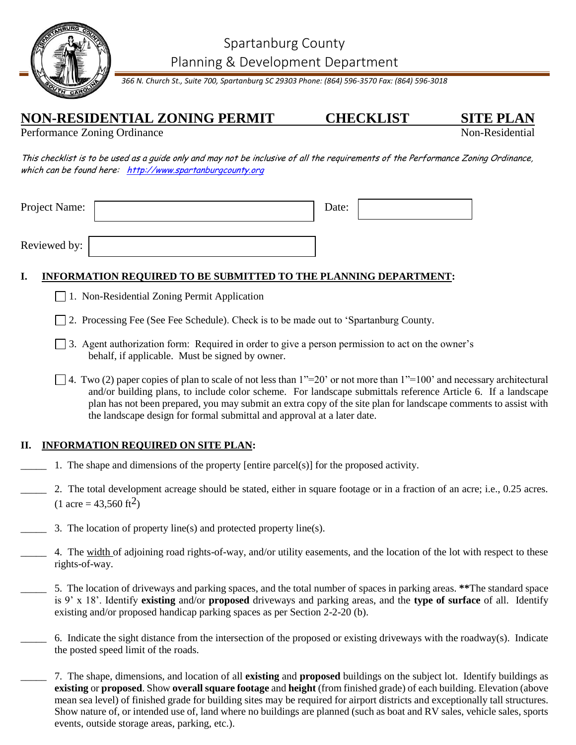



*366 N. Church St., Suite 700, Spartanburg SC 29303 Phone: (864) 596-3570 Fax: (864) 596-3018*

## **NON-RESIDENTIAL ZONING PERMIT CHECKLIST SITE PLAN**

Performance Zoning Ordinance

This checklist is to be used as a guide only and may not be inclusive of all the requirements of the Performance Zoning Ordinance, which can be found here: [http://www.spartanburgcounty.org](http://www.spartanburgcounty.org/)

| Project Name: | Date: |  |
|---------------|-------|--|
|               |       |  |
| Reviewed by:  |       |  |

## **I. INFORMATION REQUIRED TO BE SUBMITTED TO THE PLANNING DEPARTMENT:**

- 1. Non-Residential Zoning Permit Application
- □ 2. Processing Fee (See Fee Schedule). Check is to be made out to 'Spartanburg County.
- 3. Agent authorization form: Required in order to give a person permission to act on the owner's behalf, if applicable. Must be signed by owner.
- $\Box$  4. Two (2) paper copies of plan to scale of not less than 1"=20' or not more than 1"=100' and necessary architectural and/or building plans, to include color scheme. For landscape submittals reference Article 6. If a landscape plan has not been prepared, you may submit an extra copy of the site plan for landscape comments to assist with the landscape design for formal submittal and approval at a later date.

## **II. INFORMATION REQUIRED ON SITE PLAN:**

- \_\_\_\_\_ 1. The shape and dimensions of the property [entire parcel(s)] for the proposed activity.
- \_\_\_\_\_ 2. The total development acreage should be stated, either in square footage or in a fraction of an acre; i.e., 0.25 acres.  $(1 \text{ acre} = 43.560 \text{ ft}^2)$
- 3. The location of property line(s) and protected property line(s).
- 4. The width of adjoining road rights-of-way, and/or utility easements, and the location of the lot with respect to these rights-of-way.
- \_\_\_\_\_ 5. The location of driveways and parking spaces, and the total number of spaces in parking areas. **\*\***The standard space is 9' x 18'. Identify **existing** and/or **proposed** driveways and parking areas, and the **type of surface** of all. Identify existing and/or proposed handicap parking spaces as per Section 2-2-20 (b).
- \_\_\_\_\_ 6. Indicate the sight distance from the intersection of the proposed or existing driveways with the roadway(s). Indicate the posted speed limit of the roads.
	- \_\_\_\_\_ 7. The shape, dimensions, and location of all **existing** and **proposed** buildings on the subject lot. Identify buildings as **existing** or **proposed**. Show **overall square footage** and **height** (from finished grade) of each building. Elevation (above mean sea level) of finished grade for building sites may be required for airport districts and exceptionally tall structures. Show nature of, or intended use of, land where no buildings are planned (such as boat and RV sales, vehicle sales, sports events, outside storage areas, parking, etc.).